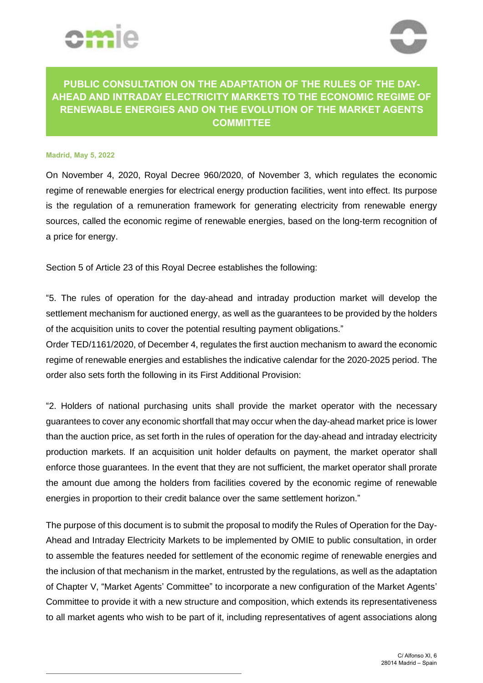



## **PUBLIC CONSULTATION ON THE ADAPTATION OF THE RULES OF THE DAY-AHEAD AND INTRADAY ELECTRICITY MARKETS TO THE ECONOMIC REGIME OF RENEWABLE ENERGIES AND ON THE EVOLUTION OF THE MARKET AGENTS COMMITTEE**

## **Madrid, May 5, 2022**

On November 4, 2020, Royal Decree 960/2020, of November 3, which regulates the economic regime of renewable energies for electrical energy production facilities, went into effect. Its purpose is the regulation of a remuneration framework for generating electricity from renewable energy sources, called the economic regime of renewable energies, based on the long-term recognition of a price for energy.

Section 5 of Article 23 of this Royal Decree establishes the following:

"5. The rules of operation for the day-ahead and intraday production market will develop the settlement mechanism for auctioned energy, as well as the guarantees to be provided by the holders of the acquisition units to cover the potential resulting payment obligations."

Order TED/1161/2020, of December 4, regulates the first auction mechanism to award the economic regime of renewable energies and establishes the indicative calendar for the 2020-2025 period. The order also sets forth the following in its First Additional Provision:

"2. Holders of national purchasing units shall provide the market operator with the necessary guarantees to cover any economic shortfall that may occur when the day-ahead market price is lower than the auction price, as set forth in the rules of operation for the day-ahead and intraday electricity production markets. If an acquisition unit holder defaults on payment, the market operator shall enforce those guarantees. In the event that they are not sufficient, the market operator shall prorate the amount due among the holders from facilities covered by the economic regime of renewable energies in proportion to their credit balance over the same settlement horizon."

The purpose of this document is to submit the proposal to modify the Rules of Operation for the Day-Ahead and Intraday Electricity Markets to be implemented by OMIE to public consultation, in order to assemble the features needed for settlement of the economic regime of renewable energies and the inclusion of that mechanism in the market, entrusted by the regulations, as well as the adaptation of Chapter V, "Market Agents' Committee" to incorporate a new configuration of the Market Agents' Committee to provide it with a new structure and composition, which extends its representativeness to all market agents who wish to be part of it, including representatives of agent associations along